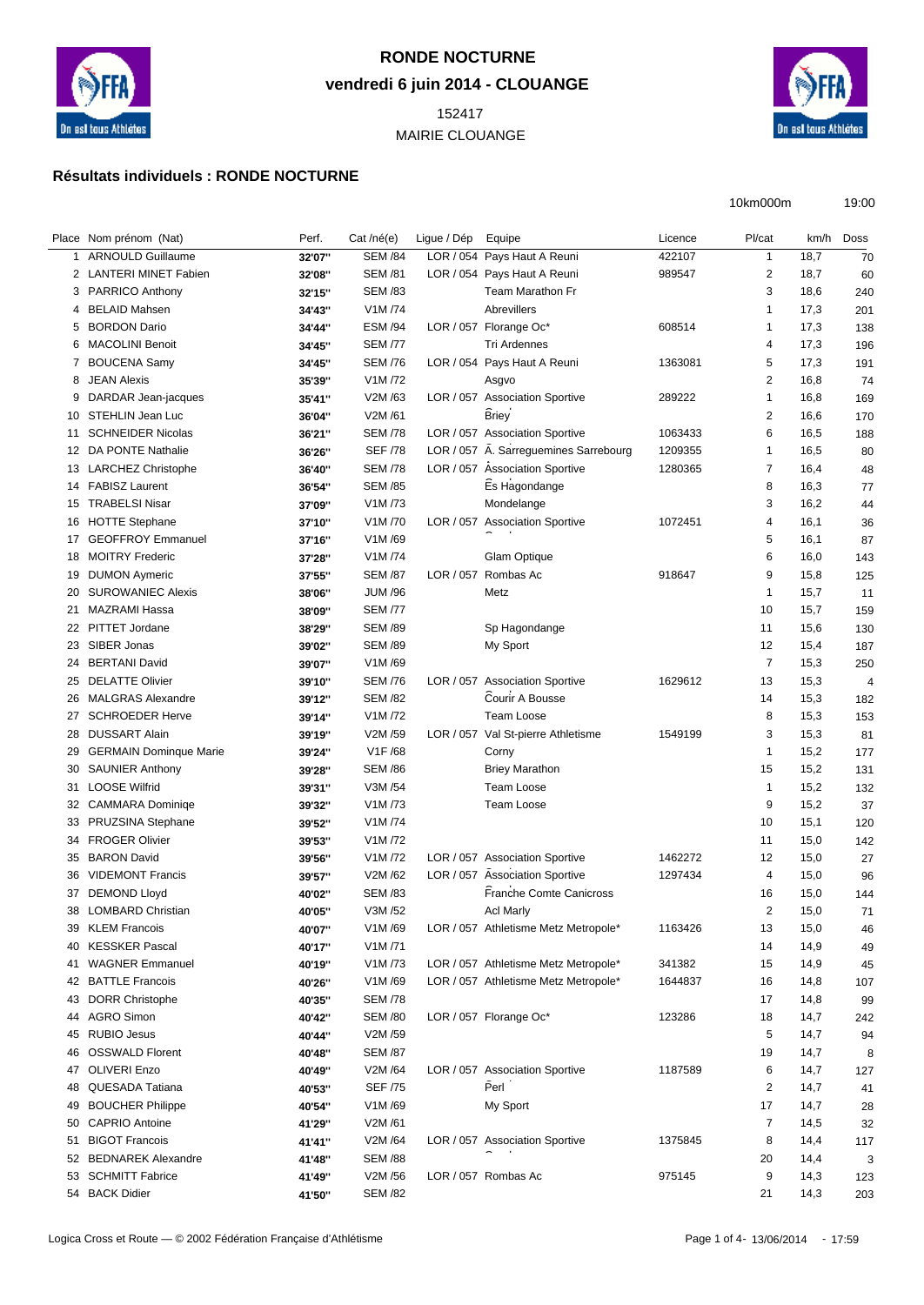

## **RONDE NOCTURNE vendredi 6 juin 2014 - CLOUANGE**

 MAIRIE CLOUANGE



10km000m 19:00

## **Résultats individuels : RONDE NOCTURNE**

|    | Place Nom prénom (Nat)        | Perf.  | Cat /né(e)     | Ligue / Dép | Equipe                                | Licence | Pl/cat         | km/h | Doss |
|----|-------------------------------|--------|----------------|-------------|---------------------------------------|---------|----------------|------|------|
|    | 1 ARNOULD Guillaume           | 32'07" | <b>SEM /84</b> |             | LOR / 054 Pays Haut A Reuni           | 422107  | $\mathbf{1}$   | 18,7 | 70   |
|    | 2 LANTERI MINET Fabien        | 32'08" | <b>SEM /81</b> |             | LOR / 054 Pays Haut A Reuni           | 989547  | 2              | 18,7 | 60   |
|    | 3 PARRICO Anthony             | 32'15" | <b>SEM /83</b> |             | Team Marathon Fr                      |         | 3              | 18,6 | 240  |
| 4  | <b>BELAID Mahsen</b>          | 34'43" | V1M /74        |             | <b>Abrevillers</b>                    |         | $\mathbf{1}$   | 17,3 | 201  |
| 5  | <b>BORDON Dario</b>           | 34'44" | <b>ESM /94</b> |             | LOR / 057 Florange Oc*                | 608514  | $\mathbf{1}$   | 17,3 | 138  |
| 6  | <b>MACOLINI Benoit</b>        | 34'45" | <b>SEM /77</b> |             | Tri Ardennes                          |         | 4              | 17,3 | 196  |
|    | 7 BOUCENA Samy                | 34'45" | <b>SEM /76</b> |             | LOR / 054 Pays Haut A Reuni           | 1363081 | 5              | 17,3 | 191  |
| 8  | <b>JEAN Alexis</b>            | 35'39" | V1M /72        |             | Asgvo                                 |         | $\overline{2}$ | 16,8 | 74   |
| 9  | DARDAR Jean-jacques           | 35'41" | V2M/63         |             | LOR / 057 Association Sportive        | 289222  | $\mathbf{1}$   | 16,8 | 169  |
| 10 | STEHLIN Jean Luc              | 36'04" | V2M /61        |             | <b>Briey</b>                          |         | $\overline{2}$ | 16,6 | 170  |
| 11 | <b>SCHNEIDER Nicolas</b>      | 36'21" | <b>SEM /78</b> |             | LOR / 057 Association Sportive        | 1063433 | 6              | 16,5 | 188  |
|    | 12 DA PONTE Nathalie          | 36'26" | <b>SEF /78</b> |             | LOR / 057 A. Sarreguemines Sarrebourg | 1209355 | $\mathbf{1}$   | 16,5 | 80   |
|    | 13 LARCHEZ Christophe         | 36'40" | <b>SEM /78</b> |             | LOR / 057 Association Sportive        | 1280365 | $\overline{7}$ | 16,4 | 48   |
| 14 | <b>FABISZ Laurent</b>         | 36'54" | <b>SEM /85</b> |             | Es Hagondange                         |         | 8              | 16,3 | 77   |
| 15 | <b>TRABELSI Nisar</b>         | 37'09" | V1M /73        |             | Mondelange                            |         | 3              | 16,2 | 44   |
| 16 | <b>HOTTE Stephane</b>         | 37'10" | V1M /70        |             | LOR / 057 Association Sportive        | 1072451 | $\overline{4}$ | 16,1 | 36   |
| 17 | <b>GEOFFROY Emmanuel</b>      | 37'16" | V1M/69         |             |                                       |         | 5              | 16,1 | 87   |
|    | 18 MOITRY Frederic            | 37'28" | V1M /74        |             | <b>Glam Optique</b>                   |         | 6              | 16,0 | 143  |
| 19 | <b>DUMON Aymeric</b>          | 37'55" | <b>SEM /87</b> | LOR / 057   | Rombas Ac                             | 918647  | 9              | 15,8 | 125  |
| 20 | <b>SUROWANIEC Alexis</b>      | 38'06" | <b>JUM /96</b> |             | Metz                                  |         | $\mathbf{1}$   | 15,7 | 11   |
| 21 | <b>MAZRAMI Hassa</b>          | 38'09" | <b>SEM /77</b> |             |                                       |         | 10             | 15,7 | 159  |
| 22 | PITTET Jordane                | 38'29" | <b>SEM /89</b> |             | Sp Hagondange                         |         | 11             | 15,6 | 130  |
| 23 | SIBER Jonas                   | 39'02" | <b>SEM /89</b> |             | My Sport                              |         | 12             | 15,4 | 187  |
| 24 | <b>BERTANI David</b>          | 39'07" | V1M/69         |             |                                       |         | $\overline{7}$ | 15,3 | 250  |
| 25 | <b>DELATTE Olivier</b>        | 39'10" | <b>SEM /76</b> |             | LOR / 057 Association Sportive        | 1629612 | 13             | 15,3 | 4    |
| 26 | <b>MALGRAS Alexandre</b>      | 39'12" | <b>SEM /82</b> |             | Courir A Bousse                       |         | 14             | 15,3 | 182  |
| 27 | <b>SCHROEDER Herve</b>        |        | V1M /72        |             | Team Loose                            |         | 8              | 15,3 |      |
| 28 | <b>DUSSART Alain</b>          | 39'14" | V2M /59        |             | LOR / 057 Val St-pierre Athletisme    | 1549199 | 3              |      | 153  |
| 29 | <b>GERMAIN Dominque Marie</b> | 39'19" | V1F/68         |             |                                       |         | $\mathbf{1}$   | 15,3 | 81   |
|    |                               | 39'24" |                |             | Corny                                 |         |                | 15,2 | 177  |
| 30 | <b>SAUNIER Anthony</b>        | 39'28" | <b>SEM /86</b> |             | <b>Briey Marathon</b>                 |         | 15             | 15,2 | 131  |
| 31 | <b>LOOSE Wilfrid</b>          | 39'31" | V3M /54        |             | <b>Team Loose</b>                     |         | $\mathbf{1}$   | 15,2 | 132  |
| 32 | <b>CAMMARA Dominiqe</b>       | 39'32" | V1M /73        |             | <b>Team Loose</b>                     |         | 9              | 15,2 | 37   |
| 33 | PRUZSINA Stephane             | 39'52" | V1M /74        |             |                                       |         | 10             | 15,1 | 120  |
| 34 | <b>FROGER Olivier</b>         | 39'53" | V1M /72        |             |                                       |         | 11             | 15,0 | 142  |
| 35 | <b>BARON David</b>            | 39'56" | V1M /72        |             | LOR / 057 Association Sportive        | 1462272 | 12             | 15,0 | 27   |
| 36 | <b>VIDEMONT Francis</b>       | 39'57" | V2M /62        |             | LOR / 057 Association Sportive        | 1297434 | 4              | 15,0 | 96   |
| 37 | <b>DEMOND Lloyd</b>           | 40'02" | <b>SEM /83</b> |             | <b>Franche Comte Canicross</b>        |         | 16             | 15,0 | 144  |
| 38 | <b>LOMBARD Christian</b>      | 40'05" | V3M /52        |             | Acl Marly                             |         | 2              | 15,0 | 71   |
|    | 39 KLEM Francois              | 40'07" | V1M/69         |             | LOR / 057 Athletisme Metz Metropole*  | 1163426 | 13             | 15,0 | 46   |
| 40 | <b>KESSKER Pascal</b>         | 40'17" | V1M/71         |             |                                       |         | 14             | 14,9 | 49   |
| 41 | <b>WAGNER Emmanuel</b>        | 40'19" | V1M /73        |             | LOR / 057 Athletisme Metz Metropole*  | 341382  | 15             | 14,9 | 45   |
|    | 42 BATTLE Francois            | 40'26" | V1M/69         |             | LOR / 057 Athletisme Metz Metropole*  | 1644837 | 16             | 14,8 | 107  |
|    | 43 DORR Christophe            | 40'35" | <b>SEM /78</b> |             |                                       |         | 17             | 14,8 | 99   |
| 44 | <b>AGRO Simon</b>             | 40'42" | <b>SEM /80</b> |             | LOR / 057 Florange Oc*                | 123286  | 18             | 14,7 | 242  |
| 45 | <b>RUBIO Jesus</b>            | 40'44" | V2M /59        |             |                                       |         | 5              | 14,7 | 94   |
| 46 | <b>OSSWALD Florent</b>        | 40'48" | <b>SEM /87</b> |             |                                       |         | 19             | 14,7 | 8    |
|    | 47 OLIVERI Enzo               | 40'49" | V2M /64        |             | LOR / 057 Association Sportive        | 1187589 | 6              | 14,7 | 127  |
| 48 | QUESADA Tatiana               | 40'53" | <b>SEF /75</b> |             | Perl                                  |         | 2              | 14,7 | 41   |
| 49 | <b>BOUCHER Philippe</b>       | 40'54" | V1M/69         |             | My Sport                              |         | 17             | 14,7 | 28   |
|    | 50 CAPRIO Antoine             | 41'29" | V2M /61        |             |                                       |         | $\overline{7}$ | 14,5 | 32   |
| 51 | <b>BIGOT Francois</b>         | 41'41" | V2M /64        |             | LOR / 057 Association Sportive        | 1375845 | 8              | 14,4 | 117  |
|    | 52 BEDNAREK Alexandre         | 41'48" | <b>SEM /88</b> |             |                                       |         | 20             | 14,4 | 3    |
|    | 53 SCHMITT Fabrice            | 41'49" | V2M /56        |             | LOR / 057 Rombas Ac                   | 975145  | 9              | 14,3 | 123  |
|    | 54 BACK Didier                | 41'50" | <b>SEM /82</b> |             |                                       |         | 21             | 14,3 | 203  |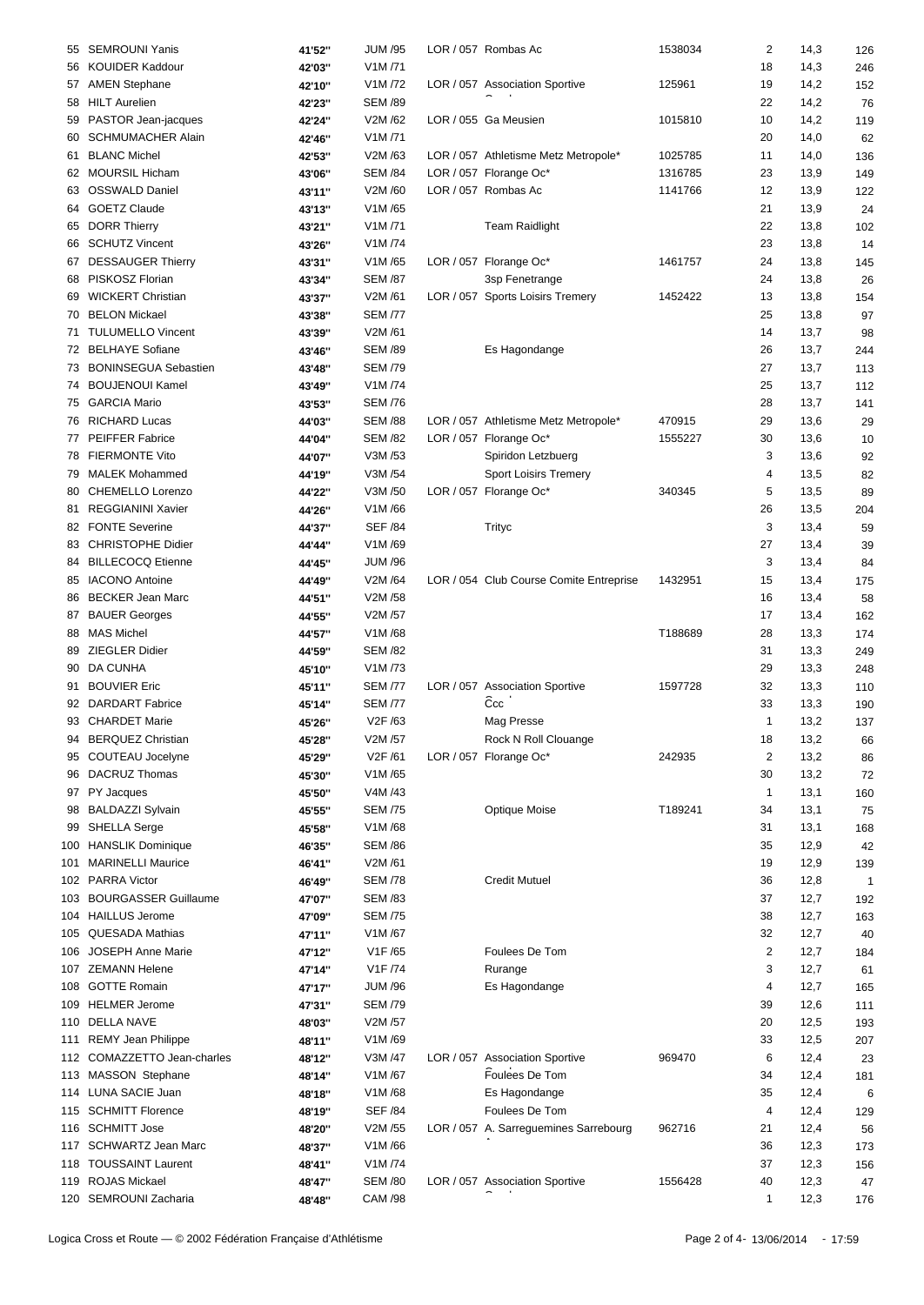|    | 55 SEMROUNI Yanis           | 41'52"  | <b>JUM /95</b>       | LOR / 057 Rombas Ac                     | 1538034 | 2            | 14,3 | 126 |
|----|-----------------------------|---------|----------------------|-----------------------------------------|---------|--------------|------|-----|
|    | 56 KOUIDER Kaddour          | 42'03"  | V1M/71               |                                         |         | 18           | 14,3 | 246 |
|    |                             |         | V1M /72              |                                         | 125961  | 19           | 14,2 |     |
|    | 57 AMEN Stephane            | 42'10"  |                      | LOR / 057 Association Sportive          |         |              |      | 152 |
|    | 58 HILT Aurelien            | 42'23"  | <b>SEM /89</b>       |                                         |         | 22           | 14,2 | 76  |
|    | 59 PASTOR Jean-jacques      | 42'24"  | V2M /62              | LOR / 055 Ga Meusien                    | 1015810 | 10           | 14,2 | 119 |
|    | 60 SCHMUMACHER Alain        | 42'46"  | V1M/71               |                                         |         | 20           | 14,0 | 62  |
|    | 61 BLANC Michel             | 42'53"  | V2M /63              | LOR / 057 Athletisme Metz Metropole*    | 1025785 | 11           | 14,0 | 136 |
|    | 62 MOURSIL Hicham           | 43'06"  | <b>SEM /84</b>       | LOR / 057 Florange Oc*                  | 1316785 | 23           | 13,9 | 149 |
|    | 63 OSSWALD Daniel           | 43'11"  | V2M /60              | LOR / 057 Rombas Ac                     | 1141766 | 12           | 13,9 | 122 |
|    |                             |         |                      |                                         |         |              |      |     |
|    | 64 GOETZ Claude             | 43'13"  | V1M/65               |                                         |         | 21           | 13,9 | 24  |
|    | 65 DORR Thierry             | 43'21"  | V1M/71               | <b>Team Raidlight</b>                   |         | 22           | 13,8 | 102 |
|    | 66 SCHUTZ Vincent           | 43'26"  | V1M /74              |                                         |         | 23           | 13,8 | 14  |
|    | 67 DESSAUGER Thierry        | 43'31"  | V1M/65               | LOR / 057 Florange Oc*                  | 1461757 | 24           | 13,8 | 145 |
|    | 68 PISKOSZ Florian          | 43'34"  | <b>SEM /87</b>       | 3sp Fenetrange                          |         | 24           | 13,8 | 26  |
| 69 | <b>WICKERT Christian</b>    | 43'37"  | V2M /61              | LOR / 057 Sports Loisirs Tremery        | 1452422 | 13           | 13,8 | 154 |
|    | 70 BELON Mickael            | 43'38"  | <b>SEM /77</b>       |                                         |         | 25           | 13,8 | 97  |
|    |                             |         |                      |                                         |         |              |      |     |
|    | 71 TULUMELLO Vincent        | 43'39"  | V2M /61              |                                         |         | 14           | 13,7 | 98  |
|    | 72 BELHAYE Sofiane          | 43'46"  | <b>SEM /89</b>       | Es Hagondange                           |         | 26           | 13,7 | 244 |
|    | 73 BONINSEGUA Sebastien     | 43'48"  | <b>SEM /79</b>       |                                         |         | 27           | 13,7 | 113 |
|    | 74 BOUJENOUI Kamel          | 43'49"  | V1M/74               |                                         |         | 25           | 13,7 | 112 |
|    | 75 GARCIA Mario             | 43'53"  | <b>SEM /76</b>       |                                         |         | 28           | 13,7 | 141 |
|    | 76 RICHARD Lucas            | 44'03"  | <b>SEM /88</b>       | LOR / 057 Athletisme Metz Metropole*    | 470915  | 29           | 13,6 | 29  |
|    | 77 PEIFFER Fabrice          |         | <b>SEM /82</b>       | LOR / 057 Florange Oc*                  |         | 30           |      |     |
|    |                             | 44'04'' |                      |                                         | 1555227 |              | 13,6 | 10  |
|    | 78 FIERMONTE Vito           | 44'07"  | V3M /53              | Spiridon Letzbuerg                      |         | 3            | 13,6 | 92  |
|    | 79 MALEK Mohammed           | 44'19"  | V3M /54              | <b>Sport Loisirs Tremery</b>            |         | 4            | 13,5 | 82  |
|    | 80 CHEMELLO Lorenzo         | 44'22"  | V3M /50              | LOR / 057 Florange Oc*                  | 340345  | 5            | 13,5 | 89  |
| 81 | REGGIANINI Xavier           | 44'26"  | V1M/66               |                                         |         | 26           | 13,5 | 204 |
|    | 82 FONTE Severine           | 44'37"  | <b>SEF /84</b>       | Trityc                                  |         | 3            | 13,4 | 59  |
|    | 83 CHRISTOPHE Didier        | 44'44"  | V1M/69               |                                         |         | 27           | 13,4 | 39  |
|    | 84 BILLECOCQ Etienne        |         | <b>JUM /96</b>       |                                         |         | 3            |      |     |
|    |                             | 44'45"  |                      |                                         |         |              | 13,4 | 84  |
| 85 | <b>IACONO Antoine</b>       | 44'49"  | V2M /64              | LOR / 054 Club Course Comite Entreprise | 1432951 | 15           | 13,4 | 175 |
|    | 86 BECKER Jean Marc         | 44'51"  | V2M /58              |                                         |         | 16           | 13,4 | 58  |
|    | 87 BAUER Georges            | 44'55"  | V2M /57              |                                         |         | 17           | 13,4 | 162 |
|    | 88 MAS Michel               | 44'57"  | V1M/68               |                                         | T188689 | 28           | 13,3 | 174 |
|    | 89 ZIEGLER Didier           | 44'59"  | <b>SEM /82</b>       |                                         |         | 31           | 13,3 | 249 |
|    | 90 DA CUNHA                 | 45'10"  | V1M/73               |                                         |         | 29           | 13,3 | 248 |
|    |                             |         |                      |                                         |         |              |      |     |
|    | 91 BOUVIER Eric             | 45'11"  | <b>SEM /77</b>       | LOR / 057 Association Sportive          | 1597728 | 32           | 13,3 | 110 |
|    | 92 DARDART Fabrice          | 45'14"  | <b>SEM /77</b>       | Ĉcc                                     |         | 33           | 13,3 | 190 |
|    | 93 CHARDET Marie            | 45'26"  | V2F /63              | Mag Presse                              |         | $\mathbf{1}$ | 13,2 | 137 |
|    | 94 BERQUEZ Christian        | 45'28"  | V2M /57              | Rock N Roll Clouange                    |         | 18           | 13,2 | 66  |
|    | 95 COUTEAU Jocelyne         | 45'29"  | V <sub>2</sub> F /61 | LOR / 057 Florange Oc*                  | 242935  | 2            | 13,2 | 86  |
|    | 96 DACRUZ Thomas            | 45'30"  | V1M/65               |                                         |         | 30           | 13,2 | 72  |
|    | 97 PY Jacques               | 45'50"  | V4M /43              |                                         |         | 1            | 13,1 | 160 |
|    |                             |         |                      |                                         |         |              |      |     |
|    | 98 BALDAZZI Sylvain         | 45'55"  | <b>SEM /75</b>       | Optique Moise                           | T189241 | 34           | 13,1 | 75  |
|    | 99 SHELLA Serge             | 45'58"  | V1M/68               |                                         |         | 31           | 13,1 | 168 |
|    | 100 HANSLIK Dominique       | 46'35"  | <b>SEM /86</b>       |                                         |         | 35           | 12,9 | 42  |
|    | 101 MARINELLI Maurice       | 46'41"  | V2M /61              |                                         |         | 19           | 12,9 | 139 |
|    | 102 PARRA Victor            | 46'49"  | <b>SEM /78</b>       | <b>Credit Mutuel</b>                    |         | 36           | 12,8 | 1   |
|    | 103 BOURGASSER Guillaume    | 47'07"  | <b>SEM /83</b>       |                                         |         | 37           | 12,7 | 192 |
|    | 104 HAILLUS Jerome          | 47'09"  | <b>SEM /75</b>       |                                         |         | 38           | 12,7 | 163 |
|    |                             |         |                      |                                         |         |              |      |     |
|    | 105 QUESADA Mathias         | 47'11"  | V1M/67               |                                         |         | 32           | 12,7 | 40  |
|    | 106 JOSEPH Anne Marie       | 47'12"  | V1F /65              | Foulees De Tom                          |         | 2            | 12,7 | 184 |
|    | 107 ZEMANN Helene           | 47'14"  | V1F /74              | Rurange                                 |         | 3            | 12,7 | 61  |
|    | 108 GOTTE Romain            | 47'17"  | <b>JUM /96</b>       | Es Hagondange                           |         | 4            | 12,7 | 165 |
|    | 109 HELMER Jerome           | 47'31"  | <b>SEM /79</b>       |                                         |         | 39           | 12,6 | 111 |
|    | 110 DELLA NAVE              | 48'03"  | V2M /57              |                                         |         | 20           | 12,5 | 193 |
|    | 111 REMY Jean Philippe      | 48'11"  | V1M/69               |                                         |         | 33           | 12,5 | 207 |
|    |                             |         |                      |                                         |         |              |      |     |
|    | 112 COMAZZETTO Jean-charles | 48'12"  | V3M /47              | LOR / 057 Association Sportive          | 969470  | 6            | 12,4 | 23  |
|    | 113 MASSON Stephane         | 48'14"  | V1M/67               | Foulees De Tom                          |         | 34           | 12,4 | 181 |
|    | 114 LUNA SACIE Juan         | 48'18"  | V1M/68               | Es Hagondange                           |         | 35           | 12,4 | 6   |
|    | 115 SCHMITT Florence        | 48'19"  | <b>SEF /84</b>       | Foulees De Tom                          |         | 4            | 12,4 | 129 |
|    | 116 SCHMITT Jose            | 48'20"  | V2M /55              | LOR / 057 A. Sarreguemines Sarrebourg   | 962716  | 21           | 12,4 | 56  |
|    | 117 SCHWARTZ Jean Marc      | 48'37"  | V1M/66               |                                         |         | 36           | 12,3 | 173 |
|    | 118 TOUSSAINT Laurent       |         | V1M /74              |                                         |         | 37           | 12,3 |     |
|    |                             | 48'41"  |                      |                                         |         |              |      | 156 |
|    | 119 ROJAS Mickael           | 48'47"  | <b>SEM /80</b>       | LOR / 057 Association Sportive          | 1556428 | 40           | 12,3 | 47  |
|    | 120 SEMROUNI Zacharia       | 48'48"  | <b>CAM /98</b>       |                                         |         | 1            | 12,3 | 176 |
|    |                             |         |                      |                                         |         |              |      |     |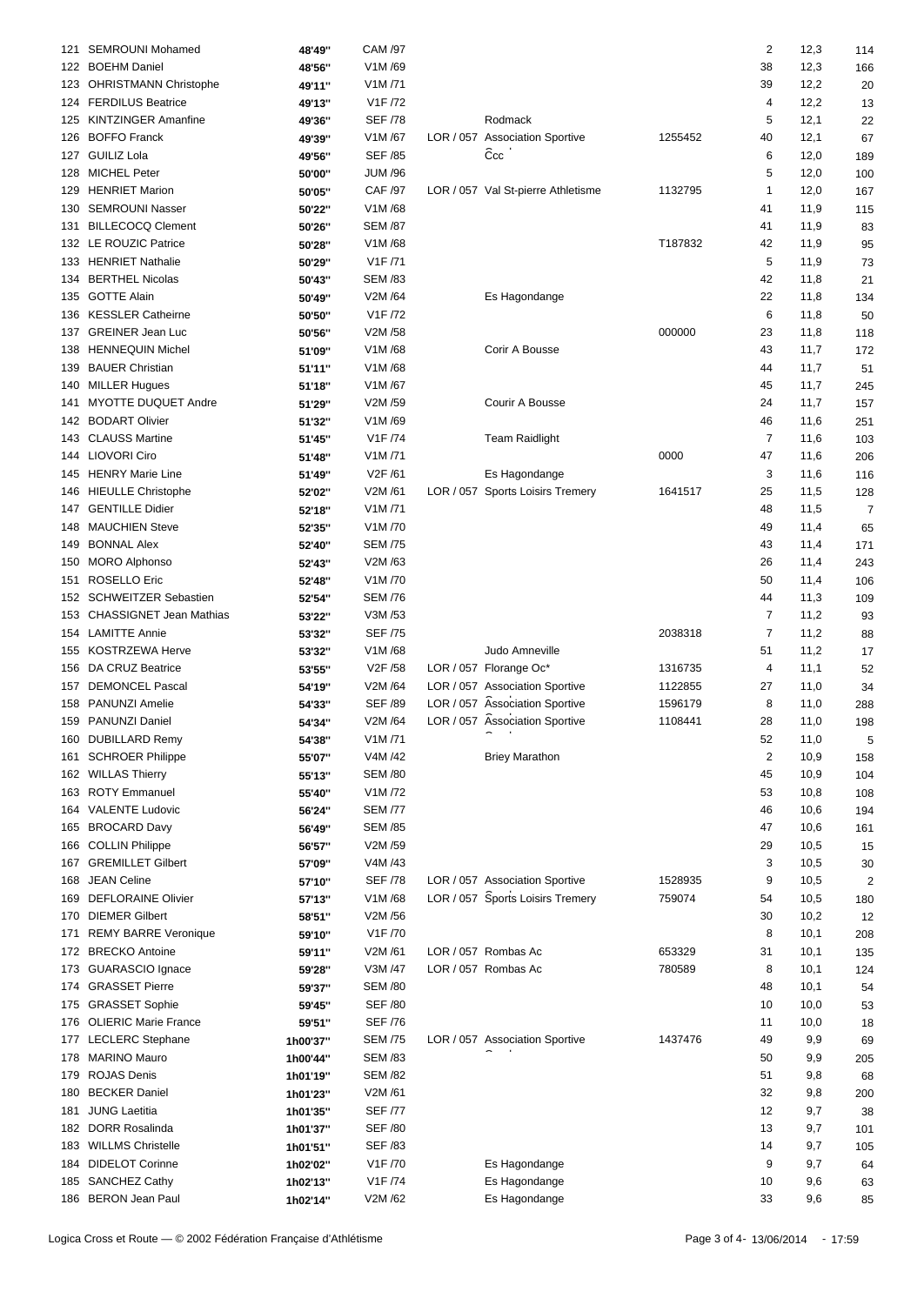|     | 121 SEMROUNI Mohamed        | 48'49"   | CAM /97                          |                                    |         | $\overline{2}$          | 12,3 | 114            |  |
|-----|-----------------------------|----------|----------------------------------|------------------------------------|---------|-------------------------|------|----------------|--|
|     | 122 BOEHM Daniel            | 48'56''  | V1M/69                           |                                    |         | 38                      | 12,3 | 166            |  |
|     | 123 OHRISTMANN Christophe   | 49'11"   | V1M/71                           |                                    |         | 39                      | 12,2 | 20             |  |
|     | 124 FERDILUS Beatrice       | 49'13"   | V1F /72                          |                                    |         | 4                       | 12,2 | 13             |  |
|     | 125 KINTZINGER Amanfine     | 49'36''  | <b>SEF /78</b>                   | Rodmack                            |         | 5                       | 12,1 | 22             |  |
|     | 126 BOFFO Franck            | 49'39"   | V1M/67                           | LOR / 057 Association Sportive     | 1255452 | 40                      | 12,1 | 67             |  |
|     | 127 GUILIZ Lola             | 49'56"   | <b>SEF /85</b>                   | Ccc                                |         | 6                       | 12,0 | 189            |  |
|     | 128 MICHEL Peter            | 50'00"   | <b>JUM /96</b>                   |                                    |         | 5                       | 12,0 | 100            |  |
|     | 129 HENRIET Marion          | 50'05"   | <b>CAF /97</b>                   | LOR / 057 Val St-pierre Athletisme | 1132795 | 1                       | 12,0 | 167            |  |
|     | 130 SEMROUNI Nasser         | 50'22"   | V1M/68                           |                                    |         | 41                      | 11,9 | 115            |  |
|     | 131 BILLECOCQ Clement       |          | <b>SEM /87</b>                   |                                    |         | 41                      | 11,9 | 83             |  |
|     | 132 LE ROUZIC Patrice       | 50'26"   | V1M/68                           |                                    | T187832 |                         |      |                |  |
|     |                             | 50'28"   |                                  |                                    |         | 42                      | 11,9 | 95             |  |
|     | 133 HENRIET Nathalie        | 50'29"   | V <sub>1</sub> F /71             |                                    |         | 5                       | 11,9 | 73             |  |
|     | 134 BERTHEL Nicolas         | 50'43"   | <b>SEM /83</b>                   |                                    |         | 42                      | 11,8 | 21             |  |
| 135 | <b>GOTTE Alain</b>          | 50'49"   | V2M /64                          | Es Hagondange                      |         | 22                      | 11,8 | 134            |  |
|     | 136 KESSLER Catheirne       | 50'50"   | V <sub>1</sub> F /72             |                                    |         | 6                       | 11,8 | 50             |  |
|     | 137 GREINER Jean Luc        | 50'56"   | V2M /58                          |                                    | 000000  | 23                      | 11,8 | 118            |  |
|     | 138 HENNEQUIN Michel        | 51'09"   | V1M/68                           | Corir A Bousse                     |         | 43                      | 11,7 | 172            |  |
| 139 | <b>BAUER Christian</b>      | 51'11"   | V1M/68                           |                                    |         | 44                      | 11,7 | 51             |  |
|     | 140 MILLER Hugues           | 51'18"   | V1M/67                           |                                    |         | 45                      | 11,7 | 245            |  |
| 141 | MYOTTE DUQUET Andre         | 51'29"   | V2M /59                          | Courir A Bousse                    |         | 24                      | 11,7 | 157            |  |
|     | 142 BODART Olivier          | 51'32"   | V1M/69                           |                                    |         | 46                      | 11,6 | 251            |  |
|     | 143 CLAUSS Martine          | 51'45"   | V <sub>1</sub> F /74             | <b>Team Raidlight</b>              |         | $\overline{7}$          | 11,6 | 103            |  |
|     | 144 LIOVORI Ciro            | 51'48"   | V1M/71                           |                                    | 0000    | 47                      | 11,6 | 206            |  |
|     | 145 HENRY Marie Line        | 51'49"   | V2F /61                          | Es Hagondange                      |         | 3                       | 11,6 | 116            |  |
|     | 146 HIEULLE Christophe      | 52'02"   | V2M /61                          | LOR / 057 Sports Loisirs Tremery   | 1641517 | 25                      | 11,5 | 128            |  |
|     | 147 GENTILLE Didier         | 52'18"   | V1M/71                           |                                    |         | 48                      | 11,5 | $\overline{7}$ |  |
|     | 148 MAUCHIEN Steve          | 52'35"   | V1M/70                           |                                    |         | 49                      | 11,4 |                |  |
|     |                             |          |                                  |                                    |         |                         |      | 65             |  |
|     | 149 BONNAL Alex             | 52'40"   | <b>SEM /75</b>                   |                                    |         | 43                      | 11,4 | 171            |  |
|     | 150 MORO Alphonso           | 52'43"   | V2M /63                          |                                    |         | 26                      | 11,4 | 243            |  |
| 151 | <b>ROSELLO Eric</b>         | 52'48"   | V1M/70                           |                                    |         | 50                      | 11,4 | 106            |  |
|     | 152 SCHWEITZER Sebastien    | 52'54"   | <b>SEM /76</b>                   |                                    |         | 44                      | 11,3 | 109            |  |
|     | 153 CHASSIGNET Jean Mathias | 53'22"   | V3M /53                          |                                    |         | $\overline{7}$          | 11,2 | 93             |  |
|     | 154 LAMITTE Annie           | 53'32"   | <b>SEF /75</b>                   |                                    | 2038318 | 7                       | 11,2 | 88             |  |
|     | 155 KOSTRZEWA Herve         | 53'32"   | V1M/68                           | Judo Amneville                     |         | 51                      | 11,2 | 17             |  |
|     | 156 DA CRUZ Beatrice        | 53'55"   | V <sub>2</sub> F / <sub>58</sub> | LOR / 057 Florange Oc*             | 1316735 | 4                       | 11,1 | 52             |  |
|     | 157 DEMONCEL Pascal         | 54'19"   | V2M /64                          | LOR / 057 Association Sportive     | 1122855 | 27                      | 11,0 | 34             |  |
|     | 158 PANUNZI Amelie          | 54'33"   | <b>SEF /89</b>                   | LOR / 057 Association Sportive     | 1596179 | 8                       | 11,0 | 288            |  |
|     | 159 PANUNZI Daniel          | 54'34"   | V2M /64                          | LOR / 057 Association Sportive     | 1108441 | 28                      | 11,0 | 198            |  |
| 160 | <b>DUBILLARD Remy</b>       | 54'38"   | V1M/71                           |                                    |         | 52                      | 11,0 | 5              |  |
|     | 161 SCHROER Philippe        | 55'07"   | V4M /42                          | <b>Briey Marathon</b>              |         | $\overline{\mathbf{c}}$ | 10,9 | 158            |  |
|     | 162 WILLAS Thierry          | 55'13"   | <b>SEM /80</b>                   |                                    |         | 45                      | 10,9 | 104            |  |
|     | 163 ROTY Emmanuel           | 55'40"   | V1M /72                          |                                    |         | 53                      | 10,8 | 108            |  |
|     | 164 VALENTE Ludovic         | 56'24"   | <b>SEM /77</b>                   |                                    |         | 46                      | 10,6 | 194            |  |
|     | 165 BROCARD Davy            |          | <b>SEM /85</b>                   |                                    |         | 47                      | 10,6 |                |  |
|     | 166 COLLIN Philippe         | 56'49"   |                                  |                                    |         |                         |      | 161            |  |
|     |                             | 56'57"   | V2M /59                          |                                    |         | 29                      | 10,5 | 15             |  |
|     | 167 GREMILLET Gilbert       | 57'09"   | V4M /43                          |                                    |         | 3                       | 10,5 | 30             |  |
| 168 | JEAN Celine                 | 57'10"   | <b>SEF /78</b>                   | LOR / 057 Association Sportive     | 1528935 | 9                       | 10,5 | $\sqrt{2}$     |  |
|     | 169 DEFLORAINE Olivier      | 57'13"   | V1M/68                           | LOR / 057 Sports Loisirs Tremery   | 759074  | 54                      | 10,5 | 180            |  |
|     | 170 DIEMER Gilbert          | 58'51"   | V2M /56                          |                                    |         | 30                      | 10,2 | 12             |  |
|     | 171 REMY BARRE Veronique    | 59'10"   | V1F /70                          |                                    |         | 8                       | 10,1 | 208            |  |
|     | 172 BRECKO Antoine          | 59'11"   | V2M /61                          | LOR / 057 Rombas Ac                | 653329  | 31                      | 10,1 | 135            |  |
|     | 173 GUARASCIO Ignace        | 59'28"   | V3M /47                          | LOR / 057 Rombas Ac                | 780589  | 8                       | 10,1 | 124            |  |
|     | 174 GRASSET Pierre          | 59'37"   | <b>SEM /80</b>                   |                                    |         | 48                      | 10,1 | 54             |  |
|     | 175 GRASSET Sophie          | 59'45"   | <b>SEF /80</b>                   |                                    |         | 10                      | 10,0 | 53             |  |
|     | 176 OLIERIC Marie France    | 59'51"   | <b>SEF /76</b>                   |                                    |         | 11                      | 10,0 | 18             |  |
|     | 177 LECLERC Stephane        | 1h00'37" | <b>SEM /75</b>                   | LOR / 057 Association Sportive     | 1437476 | 49                      | 9,9  | 69             |  |
|     | 178 MARINO Mauro            | 1h00'44" | <b>SEM /83</b>                   |                                    |         | 50                      | 9,9  | 205            |  |
|     | 179 ROJAS Denis             | 1h01'19" | <b>SEM /82</b>                   |                                    |         | 51                      | 9,8  | 68             |  |
|     | 180 BECKER Daniel           | 1h01'23" | V2M /61                          |                                    |         | 32                      | 9,8  | 200            |  |
|     | 181 JUNG Laetitia           | 1h01'35" | <b>SEF /77</b>                   |                                    |         | 12                      | 9,7  | 38             |  |
|     | 182 DORR Rosalinda          | 1h01'37" | <b>SEF /80</b>                   |                                    |         | 13                      | 9,7  | 101            |  |
|     | 183 WILLMS Christelle       | 1h01'51" | <b>SEF /83</b>                   |                                    |         | 14                      | 9,7  | 105            |  |
|     | 184 DIDELOT Corinne         | 1h02'02" | V1F /70                          | Es Hagondange                      |         | 9                       | 9,7  | 64             |  |
|     | 185 SANCHEZ Cathy           | 1h02'13" | V1F /74                          | Es Hagondange                      |         | 10                      | 9,6  |                |  |
|     | 186 BERON Jean Paul         |          | V2M/62                           | Es Hagondange                      |         | 33                      | 9,6  | 63<br>85       |  |
|     |                             | 1h02'14" |                                  |                                    |         |                         |      |                |  |